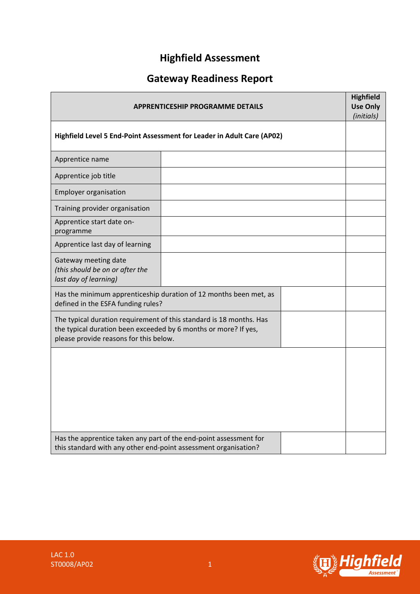# **Highfield Assessment**

# **Gateway Readiness Report**

| <b>APPRENTICESHIP PROGRAMME DETAILS</b>                                                                                                                                          |  |  |  |  |
|----------------------------------------------------------------------------------------------------------------------------------------------------------------------------------|--|--|--|--|
| Highfield Level 5 End-Point Assessment for Leader in Adult Care (AP02)                                                                                                           |  |  |  |  |
| Apprentice name                                                                                                                                                                  |  |  |  |  |
| Apprentice job title                                                                                                                                                             |  |  |  |  |
| <b>Employer organisation</b>                                                                                                                                                     |  |  |  |  |
| Training provider organisation                                                                                                                                                   |  |  |  |  |
| Apprentice start date on-<br>programme                                                                                                                                           |  |  |  |  |
| Apprentice last day of learning                                                                                                                                                  |  |  |  |  |
| Gateway meeting date<br>(this should be on or after the<br>last day of learning)                                                                                                 |  |  |  |  |
| Has the minimum apprenticeship duration of 12 months been met, as<br>defined in the ESFA funding rules?                                                                          |  |  |  |  |
| The typical duration requirement of this standard is 18 months. Has<br>the typical duration been exceeded by 6 months or more? If yes,<br>please provide reasons for this below. |  |  |  |  |
|                                                                                                                                                                                  |  |  |  |  |
| Has the apprentice taken any part of the end-point assessment for<br>this standard with any other end-point assessment organisation?                                             |  |  |  |  |

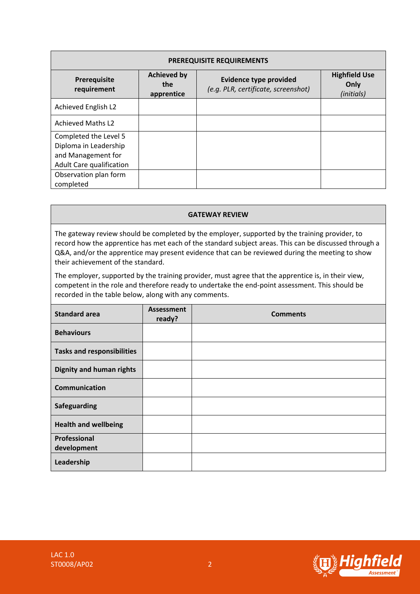| <b>PREREQUISITE REQUIREMENTS</b>                                                                 |                                         |                                                                      |                                            |  |  |  |  |
|--------------------------------------------------------------------------------------------------|-----------------------------------------|----------------------------------------------------------------------|--------------------------------------------|--|--|--|--|
| Prerequisite<br>requirement                                                                      | <b>Achieved by</b><br>the<br>apprentice | <b>Evidence type provided</b><br>(e.g. PLR, certificate, screenshot) | <b>Highfield Use</b><br>Only<br>(initials) |  |  |  |  |
| Achieved English L2                                                                              |                                         |                                                                      |                                            |  |  |  |  |
| <b>Achieved Maths L2</b>                                                                         |                                         |                                                                      |                                            |  |  |  |  |
| Completed the Level 5<br>Diploma in Leadership<br>and Management for<br>Adult Care qualification |                                         |                                                                      |                                            |  |  |  |  |
| Observation plan form<br>completed                                                               |                                         |                                                                      |                                            |  |  |  |  |

#### **GATEWAY REVIEW**

The gateway review should be completed by the employer, supported by the training provider, to record how the apprentice has met each of the standard subject areas. This can be discussed through a Q&A, and/or the apprentice may present evidence that can be reviewed during the meeting to show their achievement of the standard.

The employer, supported by the training provider, must agree that the apprentice is, in their view, competent in the role and therefore ready to undertake the end-point assessment. This should be recorded in the table below, along with any comments.

| <b>Standard area</b>              | <b>Assessment</b><br>ready? | <b>Comments</b> |
|-----------------------------------|-----------------------------|-----------------|
| <b>Behaviours</b>                 |                             |                 |
| <b>Tasks and responsibilities</b> |                             |                 |
| <b>Dignity and human rights</b>   |                             |                 |
| <b>Communication</b>              |                             |                 |
| Safeguarding                      |                             |                 |
| <b>Health and wellbeing</b>       |                             |                 |
| Professional                      |                             |                 |
| development                       |                             |                 |
| Leadership                        |                             |                 |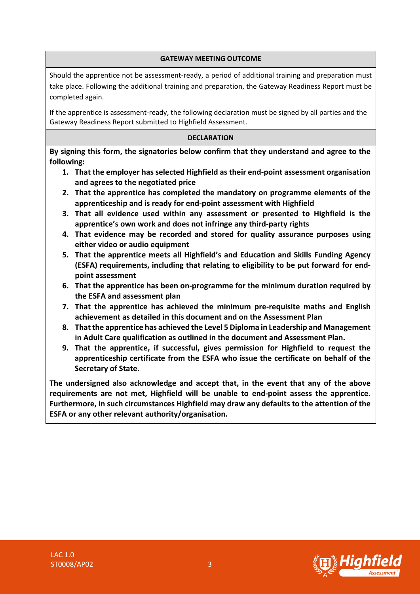### **GATEWAY MEETING OUTCOME**

Should the apprentice not be assessment-ready, a period of additional training and preparation must take place. Following the additional training and preparation, the Gateway Readiness Report must be completed again.

If the apprentice is assessment-ready, the following declaration must be signed by all parties and the Gateway Readiness Report submitted to Highfield Assessment.

### **DECLARATION**

**By signing this form, the signatories below confirm that they understand and agree to the following:**

- **1. That the employer has selected Highfield as their end-point assessment organisation and agrees to the negotiated price**
- **2. That the apprentice has completed the mandatory on programme elements of the apprenticeship and is ready for end-point assessment with Highfield**
- **3. That all evidence used within any assessment or presented to Highfield is the apprentice's own work and does not infringe any third-party rights**
- **4. That evidence may be recorded and stored for quality assurance purposes using either video or audio equipment**
- **5. That the apprentice meets all Highfield's and Education and Skills Funding Agency (ESFA) requirements, including that relating to eligibility to be put forward for endpoint assessment**
- **6. That the apprentice has been on-programme for the minimum duration required by the ESFA and assessment plan**
- **7. That the apprentice has achieved the minimum pre-requisite maths and English achievement as detailed in this document and on the Assessment Plan**
- **8. That the apprentice has achieved the Level 5 Diploma in Leadership and Management in Adult Care qualification as outlined in the document and Assessment Plan.**
- **9. That the apprentice, if successful, gives permission for Highfield to request the apprenticeship certificate from the ESFA who issue the certificate on behalf of the Secretary of State.**

**The undersigned also acknowledge and accept that, in the event that any of the above requirements are not met, Highfield will be unable to end-point assess the apprentice. Furthermore, in such circumstances Highfield may draw any defaults to the attention of the ESFA or any other relevant authority/organisation.**